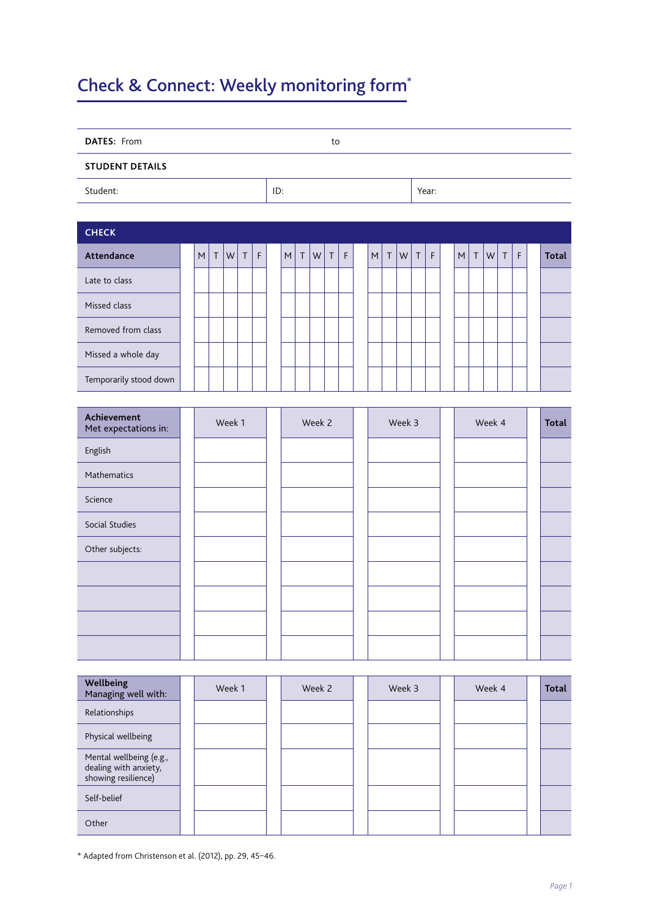## Check & Connect: Weekly monitoring form\*

| DATES: From                         |  |   |         |        |         |   |  |           |         |           | to      |             |  |           |         |        |             |             |           |        |           |         |   |              |  |
|-------------------------------------|--|---|---------|--------|---------|---|--|-----------|---------|-----------|---------|-------------|--|-----------|---------|--------|-------------|-------------|-----------|--------|-----------|---------|---|--------------|--|
| <b>STUDENT DETAILS</b>              |  |   |         |        |         |   |  |           |         |           |         |             |  |           |         |        |             |             |           |        |           |         |   |              |  |
| Student:                            |  |   |         |        |         |   |  | ID:       |         |           |         |             |  |           |         |        | Year:       |             |           |        |           |         |   |              |  |
|                                     |  |   |         |        |         |   |  |           |         |           |         |             |  |           |         |        |             |             |           |        |           |         |   |              |  |
| <b>CHECK</b>                        |  |   |         |        |         |   |  |           |         |           |         |             |  |           |         |        |             |             |           |        |           |         |   |              |  |
| Attendance                          |  | M | $\sf T$ | W      | $\sf T$ | F |  | ${\sf M}$ | $\sf T$ | ${\sf W}$ | $\sf T$ | $\mathsf F$ |  | ${\sf M}$ | $\sf T$ | W      | $\mathsf T$ | $\mathsf F$ | ${\sf M}$ | $\top$ | ${\sf W}$ | $\sf T$ | F | <b>Total</b> |  |
| Late to class                       |  |   |         |        |         |   |  |           |         |           |         |             |  |           |         |        |             |             |           |        |           |         |   |              |  |
| Missed class                        |  |   |         |        |         |   |  |           |         |           |         |             |  |           |         |        |             |             |           |        |           |         |   |              |  |
| Removed from class                  |  |   |         |        |         |   |  |           |         |           |         |             |  |           |         |        |             |             |           |        |           |         |   |              |  |
| Missed a whole day                  |  |   |         |        |         |   |  |           |         |           |         |             |  |           |         |        |             |             |           |        |           |         |   |              |  |
| Temporarily stood down              |  |   |         |        |         |   |  |           |         |           |         |             |  |           |         |        |             |             |           |        |           |         |   |              |  |
|                                     |  |   |         |        |         |   |  |           |         |           |         |             |  |           |         |        |             |             |           |        |           |         |   |              |  |
| Achievement<br>Met expectations in: |  |   |         | Week 1 |         |   |  |           |         | Week 2    |         |             |  |           |         | Week 3 |             |             |           |        | Week 4    |         |   | <b>Total</b> |  |
| English                             |  |   |         |        |         |   |  |           |         |           |         |             |  |           |         |        |             |             |           |        |           |         |   |              |  |
| Mathematics                         |  |   |         |        |         |   |  |           |         |           |         |             |  |           |         |        |             |             |           |        |           |         |   |              |  |
| Science                             |  |   |         |        |         |   |  |           |         |           |         |             |  |           |         |        |             |             |           |        |           |         |   |              |  |
| Social Studies                      |  |   |         |        |         |   |  |           |         |           |         |             |  |           |         |        |             |             |           |        |           |         |   |              |  |
| Other subjects:                     |  |   |         |        |         |   |  |           |         |           |         |             |  |           |         |        |             |             |           |        |           |         |   |              |  |
|                                     |  |   |         |        |         |   |  |           |         |           |         |             |  |           |         |        |             |             |           |        |           |         |   |              |  |
|                                     |  |   |         |        |         |   |  |           |         |           |         |             |  |           |         |        |             |             |           |        |           |         |   |              |  |
|                                     |  |   |         |        |         |   |  |           |         |           |         |             |  |           |         |        |             |             |           |        |           |         |   |              |  |
|                                     |  |   |         |        |         |   |  |           |         |           |         |             |  |           |         |        |             |             |           |        |           |         |   |              |  |
|                                     |  |   |         |        |         |   |  |           |         |           |         |             |  |           |         |        |             |             |           |        |           |         |   |              |  |
| Wellbeing<br>Managing well with:    |  |   |         | Week 1 |         |   |  |           |         | Week 2    |         |             |  |           |         | Week 3 |             |             |           |        | Week 4    |         |   | Total        |  |
| Relationships                       |  |   |         |        |         |   |  |           |         |           |         |             |  |           |         |        |             |             |           |        |           |         |   |              |  |

Physical wellbeing Mental wellbeing (e.g., dealing with anxiety, showing resilience) Self-belief Other

\* Adapted from Christenson et al. (2012), pp. 29, 45–46.